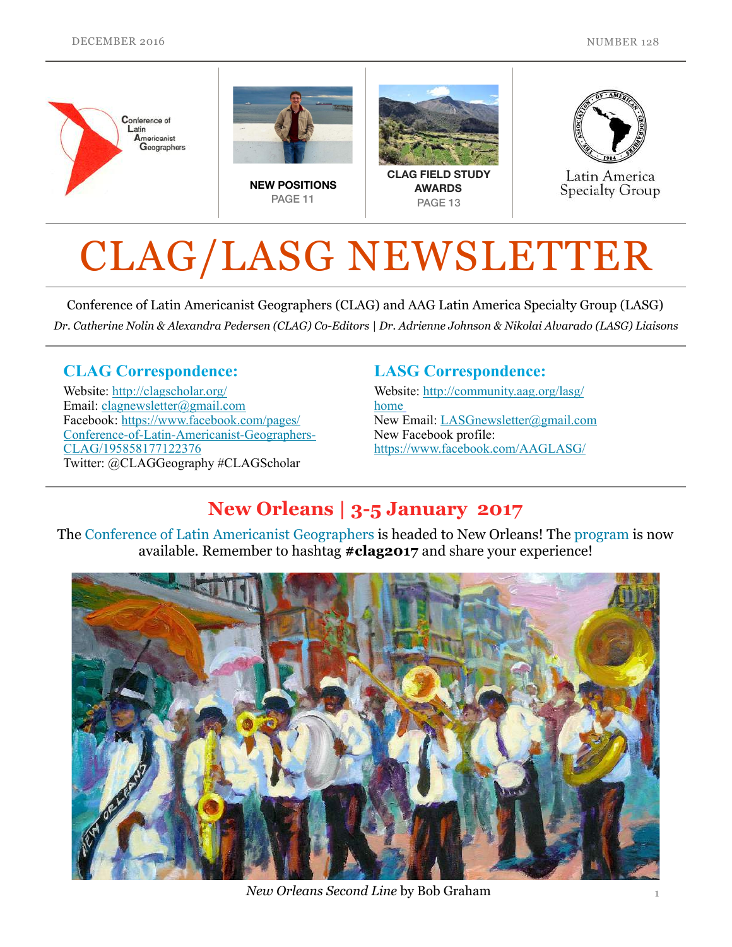

# CLAG/LASG NEWSLETTER

Conference of Latin Americanist Geographers (CLAG) and AAG Latin America Specialty Group (LASG) *Dr. Catherine Nolin & Alexandra Pedersen (CLAG) Co-Editors | Dr. Adrienne Johnson & Nikolai Alvarado (LASG) Liaisons* 

#### CLAG Correspondence:

Website: <http://clagscholar.org/> Email: [clagnewsletter@gmail.com](mailto:clagnewsletter@gmail.com) Facebook: https://www.facebook.com/pages/ [Conference-of-Latin-Americanist-Geographers-](https://www.facebook.com/pages/Conference-of-Latin-Americanist-Geographers-CLAG/195858177122376)CLAG/195858177122376 Twitter: @CLAGGeography #CLAGScholar

#### LASG Correspondence:

Website: [http://community.aag.org/lasg/](http://community.aag.org/lasg/home) home New Email: [LASGnewsletter@gmail.com](mailto:LASGnewsletter@gmail.com) New Facebook profile: <https://www.facebook.com/AAGLASG/>

### New Orleans | 3-5 January 2017

The [Conference of Latin Americanist Geographers](http://clagscholar.org/home/) is headed to New Orleans! The [program](http://www.clagconference.org/programprograma.html) is now available. Remember to hashtag #clag2017 and share your experience!



*New Orleans Second Line* by Bob Graham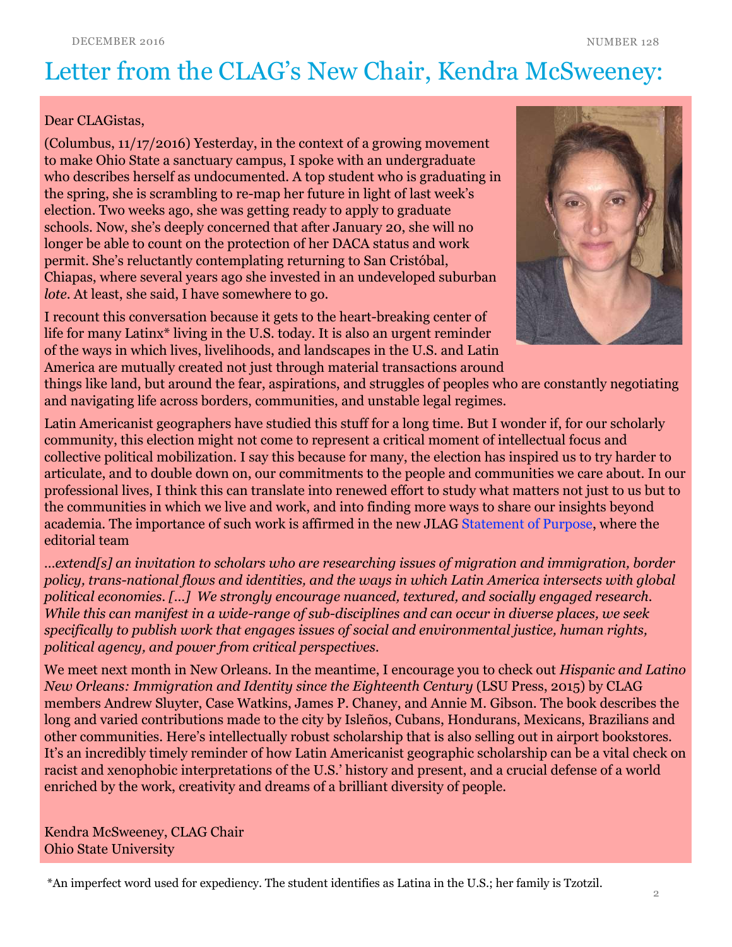# Letter from the CLAG's New Chair, Kendra McSweeney:

#### Dear CLAGistas,

(Columbus, 11/17/2016) Yesterday, in the context of a growing movement to make Ohio State a sanctuary campus, I spoke with an undergraduate who describes herself as undocumented. A top student who is graduating in the spring, she is scrambling to re-map her future in light of last week's election. Two weeks ago, she was getting ready to apply to graduate schools. Now, she's deeply concerned that after January 20, she will no longer be able to count on the protection of her DACA status and work permit. She's reluctantly contemplating returning to San Cristóbal, Chiapas, where several years ago she invested in an undeveloped suburban *lote*. At least, she said, I have somewhere to go.

I recount this conversation because it gets to the heart-breaking center of life for many Latinx\* living in the U.S. today. It is also an urgent reminder of the ways in which lives, livelihoods, and landscapes in the U.S. and Latin America are mutually created not just through material transactions around



things like land, but around the fear, aspirations, and struggles of peoples who are constantly negotiating and navigating life across borders, communities, and unstable legal regimes.

Latin Americanist geographers have studied this stuff for a long time. But I wonder if, for our scholarly community, this election might not come to represent a critical moment of intellectual focus and collective political mobilization. I say this because for many, the election has inspired us to try harder to articulate, and to double down on, our commitments to the people and communities we care about. In our professional lives, I think this can translate into renewed effort to study what matters not just to us but to the communities in which we live and work, and into finding more ways to share our insights beyond academia. The importance of such work is affirmed in the new JLAG [Statement of Purpose,](http://clagscholar.org/15-1-gaffney-freeman-seemann-finn-carter/) where the editorial team

*…extend[s] an invitation to scholars who are researching issues of migration and immigration, border policy, trans-national flows and identities, and the ways in which Latin America intersects with global political economies. […] We strongly encourage nuanced, textured, and socially engaged research. While this can manifest in a wide-range of sub-disciplines and can occur in diverse places, we seek specifically to publish work that engages issues of social and environmental justice, human rights, political agency, and power from critical perspectives.* 

We meet next month in New Orleans. In the meantime, I encourage you to check out *Hispanic and Latino New Orleans: Immigration and Identity since the Eighteenth Century* (LSU Press, 2015) by CLAG members Andrew Sluyter, Case Watkins, James P. Chaney, and Annie M. Gibson. The book describes the long and varied contributions made to the city by Isleños, Cubans, Hondurans, Mexicans, Brazilians and other communities. Here's intellectually robust scholarship that is also selling out in airport bookstores. It's an incredibly timely reminder of how Latin Americanist geographic scholarship can be a vital check on racist and xenophobic interpretations of the U.S.' history and present, and a crucial defense of a world enriched by the work, creativity and dreams of a brilliant diversity of people.

Kendra McSweeney, CLAG Chair Ohio State University

\*An imperfect word used for expediency. The student identifies as Latina in the U.S.; her family is Tzotzil.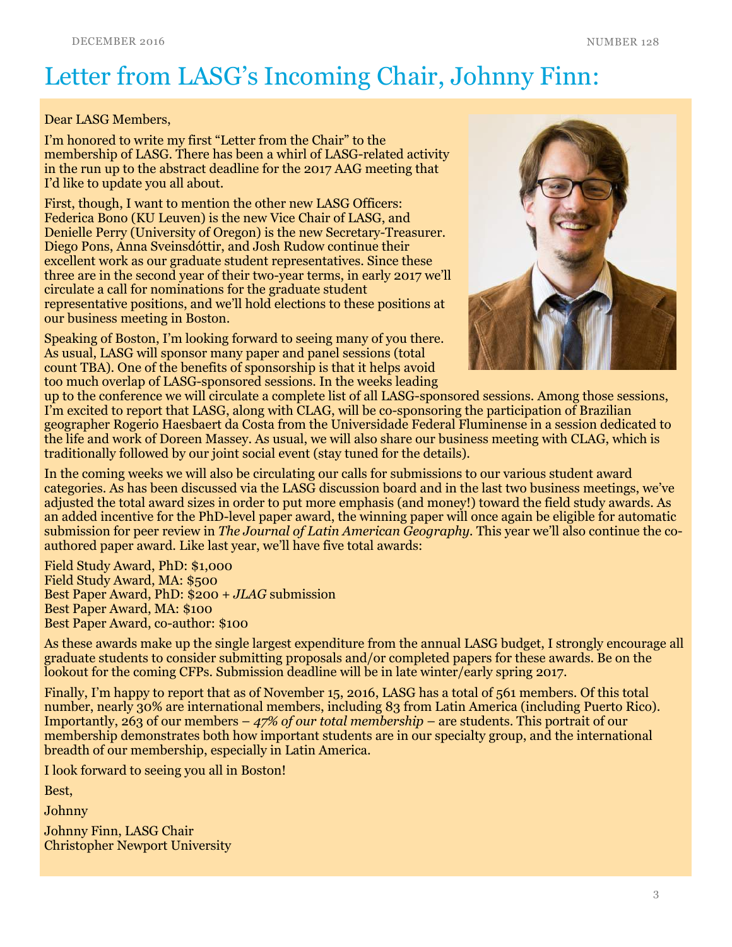# Letter from LASG's Incoming Chair, Johnny Finn:

#### Dear LASG Members,

I'm honored to write my first "Letter from the Chair" to the membership of LASG. There has been a whirl of LASG-related activity in the run up to the abstract deadline for the 2017 AAG meeting that I'd like to update you all about.

First, though, I want to mention the other new LASG Officers: Federica Bono (KU Leuven) is the new Vice Chair of LASG, and Denielle Perry (University of Oregon) is the new Secretary-Treasurer. Diego Pons, Anna Sveinsdóttir, and Josh Rudow continue their excellent work as our graduate student representatives. Since these three are in the second year of their two-year terms, in early 2017 we'll circulate a call for nominations for the graduate student representative positions, and we'll hold elections to these positions at our business meeting in Boston.

Speaking of Boston, I'm looking forward to seeing many of you there. As usual, LASG will sponsor many paper and panel sessions (total count TBA). One of the benefits of sponsorship is that it helps avoid too much overlap of LASG-sponsored sessions. In the weeks leading



up to the conference we will circulate a complete list of all LASG-sponsored sessions. Among those sessions, I'm excited to report that LASG, along with CLAG, will be co-sponsoring the participation of Brazilian geographer Rogerio Haesbaert da Costa from the Universidade Federal Fluminense in a session dedicated to the life and work of Doreen Massey. As usual, we will also share our business meeting with CLAG, which is traditionally followed by our joint social event (stay tuned for the details).

In the coming weeks we will also be circulating our calls for submissions to our various student award categories. As has been discussed via the LASG discussion board and in the last two business meetings, we've adjusted the total award sizes in order to put more emphasis (and money!) toward the field study awards. As an added incentive for the PhD-level paper award, the winning paper will once again be eligible for automatic submission for peer review in *The Journal of Latin American Geography.* This year we'll also continue the coauthored paper award. Like last year, we'll have five total awards:

Field Study Award, PhD: \$1,000 Field Study Award, MA: \$500 Best Paper Award, PhD: \$200 + *JLAG* submission Best Paper Award, MA: \$100 Best Paper Award, co-author: \$100

As these awards make up the single largest expenditure from the annual LASG budget, I strongly encourage all graduate students to consider submitting proposals and/or completed papers for these awards. Be on the lookout for the coming CFPs. Submission deadline will be in late winter/early spring 2017.

Finally, I'm happy to report that as of November 15, 2016, LASG has a total of 561 members. Of this total number, nearly 30% are international members, including 83 from Latin America (including Puerto Rico). Importantly, 263 of our members – *47% of our total membership* – are students. This portrait of our membership demonstrates both how important students are in our specialty group, and the international breadth of our membership, especially in Latin America.

I look forward to seeing you all in Boston!

Best,

Johnny

Johnny Finn, LASG Chair Christopher Newport University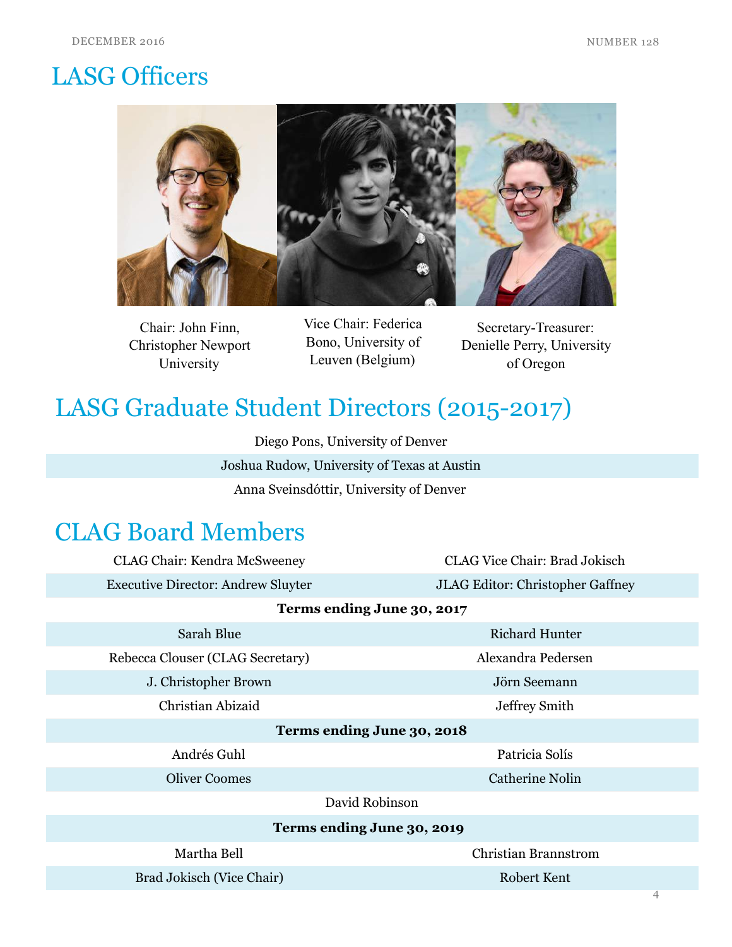# LASG Officers



Chair: John Finn, Christopher Newport University

Vice Chair: Federica Bono, University of Leuven (Belgium)

Secretary-Treasurer: Denielle Perry, University of Oregon

# LASG Graduate Student Directors (2015-2017)

Diego Pons, University of Denver Joshua Rudow, University of Texas at Austin Anna Sveinsdóttir, University of Denver

### CLAG Board Members

| <b>CLAG Chair: Kendra McSweeney</b>       | <b>CLAG Vice Chair: Brad Jokisch</b>    |  |  |
|-------------------------------------------|-----------------------------------------|--|--|
| <b>Executive Director: Andrew Sluyter</b> | <b>JLAG Editor: Christopher Gaffney</b> |  |  |
| Terms ending June 30, 2017                |                                         |  |  |
| Sarah Blue                                | <b>Richard Hunter</b>                   |  |  |
| Rebecca Clouser (CLAG Secretary)          | Alexandra Pedersen                      |  |  |
| J. Christopher Brown                      | Jörn Seemann                            |  |  |
| Christian Abizaid                         | <b>Jeffrey Smith</b>                    |  |  |
| Terms ending June 30, 2018                |                                         |  |  |
| Andrés Guhl                               | Patricia Solís                          |  |  |
| <b>Oliver Coomes</b>                      | <b>Catherine Nolin</b>                  |  |  |
| David Robinson                            |                                         |  |  |
| Terms ending June 30, 2019                |                                         |  |  |
| Martha Bell                               | <b>Christian Brannstrom</b>             |  |  |
| Brad Jokisch (Vice Chair)                 | Robert Kent                             |  |  |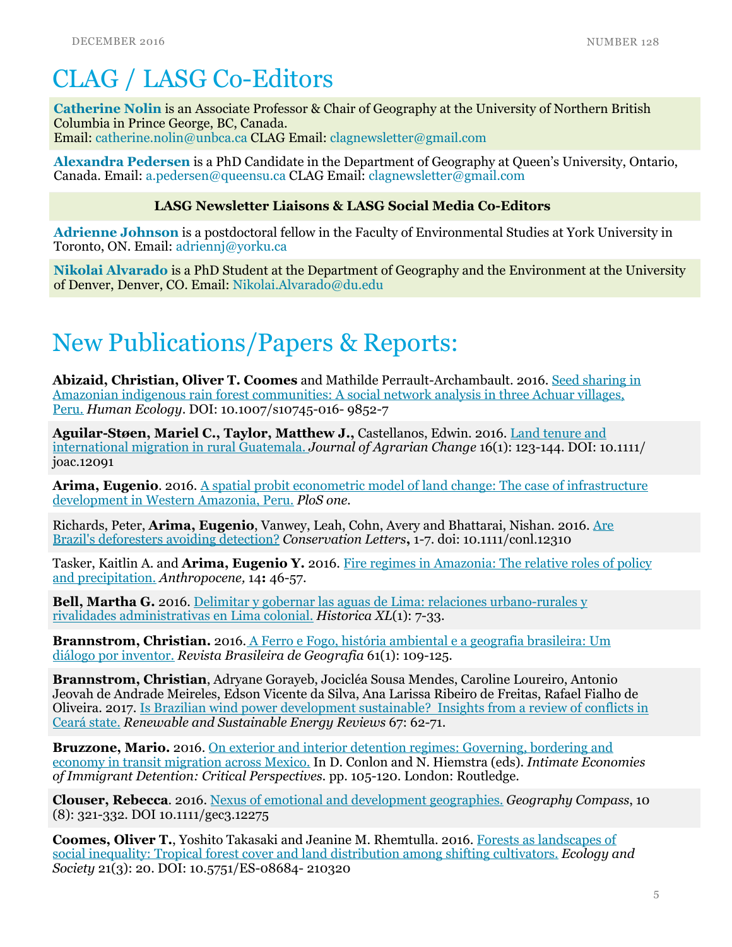# CLAG / LASG Co-Editors

[Catherine Nolin](http://www.unbc.ca/catherine-nolin) is an Associate Professor & Chair of Geography at the University of Northern British Columbia in Prince George, BC, Canada. Email: [catherine.nolin@unbca.ca](mailto:catherine.nolin@unbca.ca?subject=) CLAG Email: [clagnewsletter@gmail.com](mailto:clagnewsletter@gmail.com)

[Alexandra Pedersen](http://www.queensu.ca/geographyandplanning/people/geography-graduate-students#lastName-P) is a PhD Candidate in the Department of Geography at Queen's University, Ontario, Canada. Email: [a.pedersen@queensu.ca](mailto:a.pedersen@queensu.ca) CLAG Email: [clagnewsletter@gmail.com](mailto:clagnewsletter@gmail.com)

#### LASG Newsletter Liaisons & LASG Social Media Co-Editors

[Adrienne Johnson](http://www.researchgate.net/profile/Adrienne_Johnson2) is a postdoctoral fellow in the Faculty of Environmental Studies at York University in Toronto, ON. Email: [adriennj@yorku.ca](mailto:adriennj@yorku.ca?subject=)

[Nikolai Alvarado i](http://www.du.edu/nsm/departments/geography/students/)s a PhD Student at the Department of Geography and the Environment at the University of Denver, Denver, CO. Email: [Nikolai.Alvarado@du.edu](mailto:Nikolai.Alvarado@du.edu)

### New Publications/Papers & Reports:

Abizaid, Christian, Oliver T. Coomes and Mathilde Perrault-Archambault. 2016. Seed sharing in [Amazonian indigenous rain forest communities: A social network analysis in three Achuar villages,](http://link.springer.com/article/10.1007/s10745-016-9852-7)  Peru. *Human Ecology*. DOI: 10.1007/s10745-016- 9852-7

Aguilar-Støen, Mariel C., Taylor, Matthew J., Castellanos, Edwin. 2016. Land tenure and international migration in rural Guatemala. *Journal of Agrarian Change* 16(1): 123-144. DOI: 10.1111/ joac.12091

**Arima, Eugenio.** 2016. A spatial probit econometric model of land change: The case of infrastructure development in Western Amazonia, Peru. *PloS one.*

[Richards, Peter, Arima, Eugenio, Vanwey, Leah, Cohn, Avery and Bhattarai, Nishan. 2016. Are](http://onlinelibrary.wiley.com/doi/10.1111/conl.12310/full)  Brazil's deforesters avoiding detection? *Conservation Letters*, 1-7. doi: 10.1111/conl.12310

Tasker, Kaitlin A. and **Arima, Eugenio Y.** 2016. Fire regimes in Amazonia: The relative roles of policy and precipitation. *Anthropocene,* 14: 46-57.

Bell, Martha G. 2016. Delimitar y gobernar las aguas de Lima: relaciones urbano-rurales y rivalidades administrativas en Lima colonial. *Historica XL*(1): 7-33.

Brannstrom, [Christian. 2016. A Ferro e Fogo, história ambiental e a geografia brasileira: Um](http://rbg.ibge.gov.br/index.php/rbg/article/view/30)  diálogo por inventor. *Revista Brasileira de Geografia* 61(1): 109-125.

Brannstrom, Christian, Adryane Gorayeb, Jocicléa Sousa Mendes, Caroline Loureiro, Antonio Jeovah de Andrade Meireles, Edson Vicente da Silva, Ana Larissa Ribeiro de Freitas, Rafael Fialho de [Oliveira. 2017. Is Brazilian wind power development sustainable? Insights from a review of conflicts in](http://www.sciencedirect.com/science/article/pii/S1364032116304804)  Ceará state. *Renewable and Sustainable Energy Reviews* 67: 62-71.

Bruzzone, Mario. 2016. [On exterior and interior detention regimes:](https://uwmadison.app.box.com/s/e2oaxsfq62f7ggwoi8u4cbjbyw85ss1x) Governing, bordering and economy in transit migration across Mexico. In D. Conlon and N. Hiemstra (eds). *Intimate Economies of Immigrant Detention: Critical Perspectives.* pp. 105-120. London: Routledge.

Clouser, Rebecca. 2016. [Nexus of emotional and development geographies.](http://onlinelibrary.wiley.com/doi/10.1111/gec3.12275/full) *Geography Compass*, 10 (8): 321-332. DOI 10.1111/gec3.12275

[Coomes, Oliver T., Yoshito Takasaki and Jeanine M. Rhemtulla. 2016. Forests as landscapes of](http://www.ecologyandsociety.org/vol21/iss3/art20/)  social inequality: Tropical forest cover and land distribution among shifting cultivators. *Ecology and Society* 21(3): 20. DOI: 10.5751/ES-08684- 210320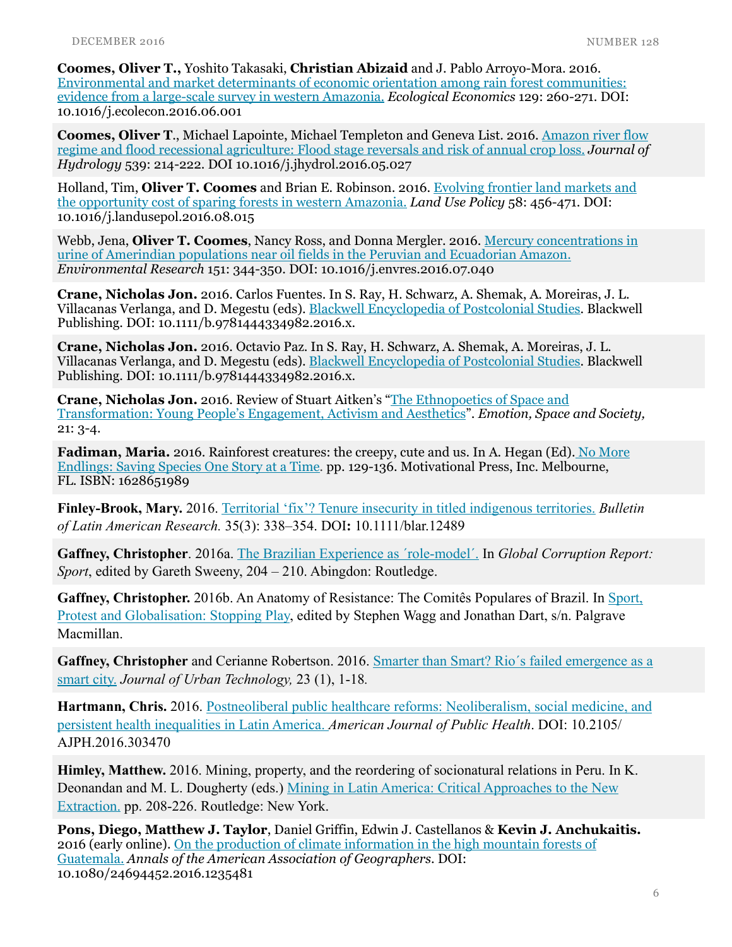Coomes, Oliver T., Yoshito Takasaki, Christian Abizaid and J. Pablo Arroyo-Mora. 2016. [Environmental and market determinants of economic orientation among rain forest communities:](http://www.sciencedirect.com/science/article/pii/S0921800916301835)  evidence from a large-scale survey in western Amazonia. *Ecological Economics* 129: 260-271. DOI: 10.1016/j.ecolecon.2016.06.001

Coomes, Oliver T., Michael Lapointe, Michael Templeton and Geneva List. 2016. Amazon river flow [regime and flood recessional agriculture: Flood stage reversals and risk of annual crop loss.](http://www.sciencedirect.com/science/article/pii/S0022169416302943) *Journal of Hydrology* 539: 214-222. DOI 10.1016/j.jhydrol.2016.05.027

Holland, Tim, Oliver T. Coomes and Brian E. Robinson. 2016. Evolving frontier land markets and the opportunity cost of sparing forests in western Amazonia. *Land Use Policy* 58: 456-471. DOI: 10.1016/j.landusepol.2016.08.015

Webb, Jena, Oliver T. Coomes, Nancy Ross, and Donna Mergler. 2016. Mercury concentrations in urine of Amerindian populations near oil fields in the Peruvian and Ecuadorian Amazon. *Environmental Research* 151: 344-350. DOI: 10.1016/j.envres.2016.07.040

Crane, Nicholas Jon. 2016. Carlos Fuentes. In S. Ray, H. Schwarz, A. Shemak, A. Moreiras, J. L. Villacanas Verlanga, and D. Megestu (eds). [Blackwell Encyclopedia of Postcolonial Studies.](http://ca.wiley.com/WileyCDA/WileyTitle/productCd-1444334980.html) Blackwell Publishing. DOI: 10.1111/b.9781444334982.2016.x.

Crane, Nicholas Jon. 2016. Octavio Paz. In S. Ray, H. Schwarz, A. Shemak, A. Moreiras, J. L. Villacanas Verlanga, and D. Megestu (eds). [Blackwell Encyclopedia of Postcolonial Studies.](http://ca.wiley.com/WileyCDA/WileyTitle/productCd-1444334980.html) Blackwell Publishing. DOI: 10.1111/b.9781444334982.2016.x.

Crane, Nicholas Jon. 2016. Review of Stuart Aitken's "The Ethnopoetics of Space and [Transformation: Young People's Engagement, Activism and Aesthetics".](http://www.sciencedirect.com/science/article/pii/S1755458616301293) *Emotion, Space and Society,* 21: 3-4.

[Fadiman, Maria. 2016. Rainforest creatures: the creepy, cute and us. In A. Hegan \(Ed\).](http://www.allisonhegan.com) No More Endlings: Saving Species One Story at a Time*.* pp. 129-136. Motivational Press, Inc. Melbourne, FL. ISBN: 1628651989

Finley-Brook, Mary. 2016. [Territorial 'fix'? Tenure insecurity in titled indigenous territories.](http://onlinelibrary.wiley.com/doi/10.1111/blar.12489/full) *Bulletin of Latin American Research.* 35(3): 338–354. DOI: 10.1111/blar.12489

Gaffney, Christopher. 2016a. [The Brazilian Experience as ´role-model´.](http://www.zora.uzh.ch/122997/1/2016_Gaffney_2016_The%20Brazilian%20experience%20as%20) In *Global Corruption Report: Sport*, edited by Gareth Sweeny, 204 – 210. Abingdon: Routledge.

[Gaffney, Christopher. 2016b. An Anatomy of Resistance: The Comitês Populares of Brazil. In Sport,](http://www.palgrave.com/in/book/9781137464910)  Protest and Globalisation: Stopping Play, edited by Stephen Wagg and Jonathan Dart, s/n. Palgrave Macmillan.

Gaffney, Christopher and Cerianne Robertson. 2016. Smarter than Smart? Rio´s failed emergence as a smart city. *Journal of Urban Technology,* 23 (1), 1-18*.*

[Hartmann, Chris. 2016. Postneoliberal public healthcare reforms: Neoliberalism, social medicine, and](http://ajph.aphapublications.org/doi/abs/10.2105/AJPH.2016.303470)  persistent health inequalities in Latin America. *American Journal of Public Health*. DOI: 10.2105/ AJPH.2016.303470

Himley, Matthew. 2016. Mining, property, and the reordering of socionatural relations in Peru. In K. [Deonandan and M. L. Dougherty \(eds.\) Mining in Latin America: Critical Approaches to the New](https://www.routledge.com/Mining-in-Latin-America-Critical-Approaches-to-the-New-Extraction/Deonandan-Dougherty/p/book/9781138921672)  Extraction. pp. 208-226. Routledge: New York.

Pons, Diego, Matthew J. Taylor, Daniel Griffin, Edwin J. Castellanos & Kevin J. Anchukaitis. 2016 (early online). [On the production of climate information in the high mountain forests of](http://www.tandfonline.com/doi/full/10.1080/24694452.2016.1235481)  Guatemala. *Annals of the American Association of Geographers*. DOI: 10.1080/24694452.2016.1235481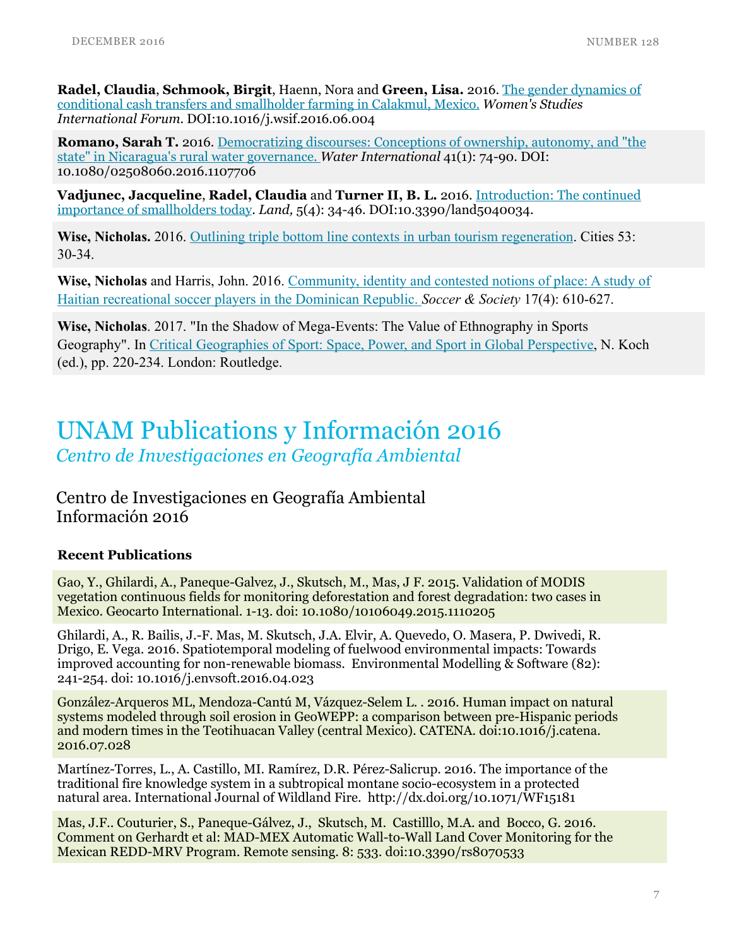Radel, Claudia, [Schmook, Birgit, Haenn, Nora and Green, Lisa. 2016. The gender dynamics of](http://www.sciencedirect.com/science/article/pii/S0277539516301728)  conditional cash transfers and smallholder farming in Calakmul, Mexico. *Women's Studies International Forum*. DOI:10.1016/j.wsif.2016.06.004

[Romano, Sarah T. 2016. Democratizing discourses: Conceptions of ownership, autonomy, and "the](http://www.tandfonline.com/doi/abs/10.1080/02508060.2016.1107706)  state" in Nicaragua's rural water governance. *Water International* 41(1): 74-90. DOI: 10.1080/02508060.2016.1107706

Vadjunec, Jacqueline, Radel, Claudia and Turner II, B. L. 2016. Introduction: The continued importance of smallholders today. *Land,* [5\(4\): 34-46. DOI:10.3390/land5040034.](http://www.mdpi.com/2073-445X/5/4/34) 

Wise, Nicholas. 2016. [Outlining triple bottom line contexts in urban tourism regeneration.](http://www.sciencedirect.com/science/article/pii/S0264275116300038) Cities 53: 30-34.

Wise, Nicholas and Harris, John. 2016. Community, identity and contested notions of place: A study of Haitian recreational soccer players in the Dominican Republic. *Soccer & Society* 17(4): 610-627.

Wise, Nicholas. 2017. "In the Shadow of Mega-Events: The Value of Ethnography in Sports Geography". In [Critical Geographies of Sport: Space, Power, and Sport in Global Perspective,](https://www.routledge.com/Critical-Geographies-of-Sport-Space-Power-and-Sport-in-Global-Perspective/Koch/p/book/9781138927124) N. Koch (ed.), pp. 220-234. London: Routledge.

### UNAM Publications y Información 2016 *Centro de Investigaciones en Geografía Ambiental*

Centro de Investigaciones en Geografía Ambiental Información 2016

#### Recent Publications

Gao, Y., Ghilardi, A., Paneque-Galvez, J., Skutsch, M., Mas, J F. 2015. Validation of MODIS vegetation continuous fields for monitoring deforestation and forest degradation: two cases in Mexico. Geocarto International. 1-13. doi: 10.1080/10106049.2015.1110205

Ghilardi, A., R. Bailis, J.-F. Mas, M. Skutsch, J.A. Elvir, A. Quevedo, O. Masera, P. Dwivedi, R. Drigo, E. Vega. 2016. Spatiotemporal modeling of fuelwood environmental impacts: Towards improved accounting for non-renewable biomass. Environmental Modelling  $\&$  Software (82): 241-254. doi: 10.1016/j.envsoft.2016.04.023

González-Arqueros ML, Mendoza-Cantú M, Vázquez-Selem L. . 2016. Human impact on natural systems modeled through soil erosion in GeoWEPP: a comparison between pre-Hispanic periods and modern times in the Teotihuacan Valley (central Mexico). CATENA. doi:10.1016/j.catena. 2016.07.028

Martínez-Torres, L., A. Castillo, MI. Ramírez, D.R. Pérez-Salicrup. 2016. The importance of the traditional fire knowledge system in a subtropical montane socio-ecosystem in a protected natural area. International Journal of Wildland Fire. http://dx.doi.org/10.1071/WF15181

Mas, J.F.. Couturier, S., Paneque-Gálvez, J., Skutsch, M. Castilllo, M.A. and Bocco, G. 2016. Comment on Gerhardt et al: MAD-MEX Automatic Wall-to-Wall Land Cover Monitoring for the Mexican REDD-MRV Program. Remote sensing. 8: 533. doi:10.3390/rs8070533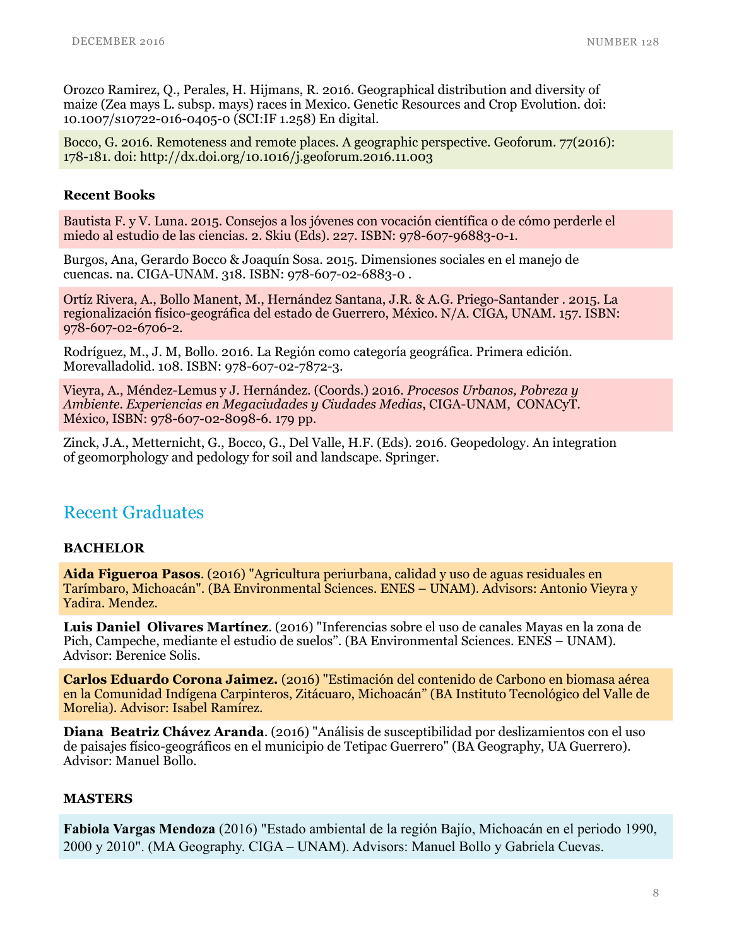Orozco Ramirez, Q., Perales, H. Hijmans, R. 2016. Geographical distribution and diversity of maize (Zea mays L. subsp. mays) races in Mexico. Genetic Resources and Crop Evolution. doi: 10.1007/s10722-016-0405-0 (SCI:IF 1.258) En digital.

Bocco, G. 2016. Remoteness and remote places. A geographic perspective. Geoforum. 77(2016): 178-181. doi: http://dx.doi.org/10.1016/j.geoforum.2016.11.003

#### Recent Books

Bautista F. y V. Luna. 2015. Consejos a los jóvenes con vocación científica o de cómo perderle el miedo al estudio de las ciencias. 2. Skiu (Eds). 227. ISBN: 978-607-96883-0-1.

Burgos, Ana, Gerardo Bocco & Joaquín Sosa. 2015. Dimensiones sociales en el manejo de cuencas. na. CIGA-UNAM. 318. ISBN: 978-607-02-6883-0 .

Ortíz Rivera, A., Bollo Manent, M., Hernández Santana, J.R. & A.G. Priego-Santander . 2015. La regionalización físico-geográfica del estado de Guerrero, México. N/A. CIGA, UNAM. 157. ISBN: 978-607-02-6706-2.

Rodríguez, M., J. M, Bollo. 2016. La Región como categoría geográfica. Primera edición. Morevalladolid. 108. ISBN: 978-607-02-7872-3.

Vieyra, A., Méndez-Lemus y J. Hernández. (Coords.) 2016. *Procesos Urbanos, Pobreza y Ambiente. Experiencias en Megaciudades y Ciudades Medias*, CIGA-UNAM, CONACyT. México, ISBN: 978-607-02-8098-6. 179 pp.

Zinck, J.A., Metternicht, G., Bocco, G., Del Valle, H.F. (Eds). 2016. Geopedology. An integration of geomorphology and pedology for soil and landscape. Springer.

#### Recent Graduates

#### **BACHELOR**

Aida Figueroa Pasos. (2016) "Agricultura periurbana, calidad y uso de aguas residuales en Tarímbaro, Michoacán". (BA Environmental Sciences. ENES – UNAM). Advisors: Antonio Vieyra y Yadira. Mendez.

Luis Daniel Olivares Martínez. (2016) "Inferencias sobre el uso de canales Mayas en la zona de Pich, Campeche, mediante el estudio de suelos". (BA Environmental Sciences. ENES – UNAM). Advisor: Berenice Solis.

Carlos Eduardo Corona Jaimez. (2016) "Estimación del contenido de Carbono en biomasa aérea en la Comunidad Indígena Carpinteros, Zitácuaro, Michoacán" (BA Instituto Tecnológico del Valle de Morelia). Advisor: Isabel Ramírez.

Diana Beatriz Chávez Aranda. (2016) "Análisis de susceptibilidad por deslizamientos con el uso de paisajes físico-geográficos en el municipio de Tetipac Guerrero" (BA Geography, UA Guerrero). Advisor: Manuel Bollo.

#### **MASTERS**

Fabiola Vargas Mendoza (2016) "Estado ambiental de la región Bajío, Michoacán en el periodo 1990, 2000 y 2010". (MA Geography. CIGA – UNAM). Advisors: Manuel Bollo y Gabriela Cuevas.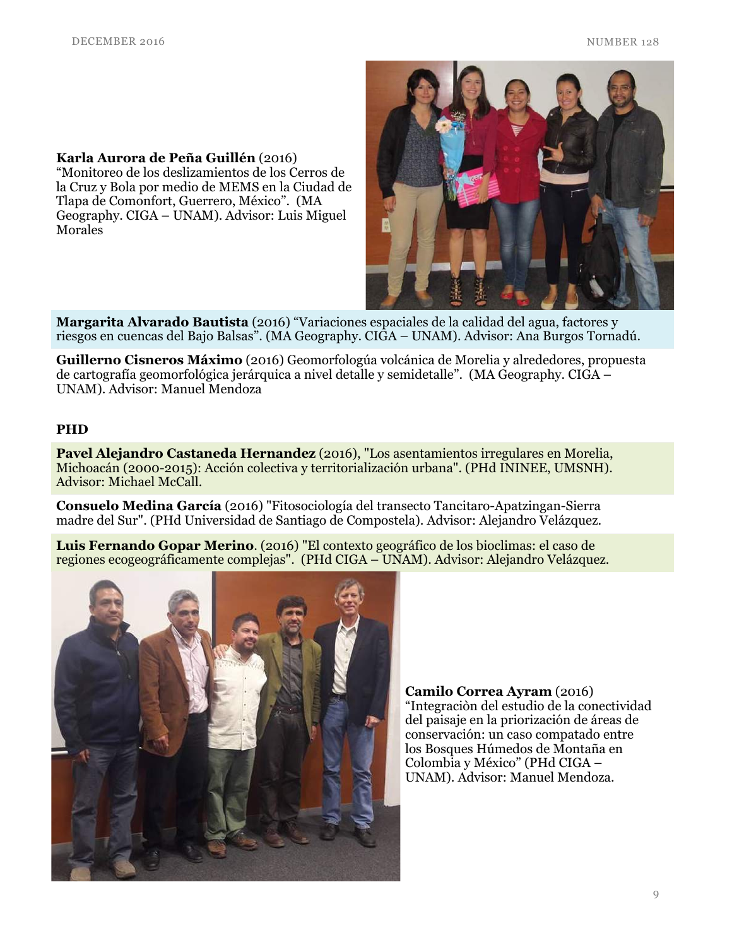Karla Aurora de Peña Guillén (2016)

"Monitoreo de los deslizamientos de los Cerros de la Cruz y Bola por medio de MEMS en la Ciudad de Tlapa de Comonfort, Guerrero, México". (MA Geography. CIGA – UNAM). Advisor: Luis Miguel **Morales** 

Margarita Alvarado Bautista (2016) "Variaciones espaciales de la calidad del agua, factores y riesgos en cuencas del Bajo Balsas". (MA Geography. CIGA – UNAM). Advisor: Ana Burgos Tornadú.

Guillerno Cisneros Máximo (2016) Geomorfologúa volcánica de Morelia y alrededores, propuesta de cartografía geomorfológica jerárquica a nivel detalle y semidetalle". (MA Geography. CIGA – UNAM). Advisor: Manuel Mendoza

#### PHD

Pavel Alejandro Castaneda Hernandez (2016), "Los asentamientos irregulares en Morelia, Michoacán (2000-2015): Acción colectiva y territorialización urbana". (PHd ININEE, UMSNH). Advisor: Michael McCall.

Consuelo Medina García (2016) "Fitosociología del transecto Tancitaro-Apatzingan-Sierra madre del Sur". (PHd Universidad de Santiago de Compostela). Advisor: Alejandro Velázquez.

Luis Fernando Gopar Merino. (2016) "El contexto geográfico de los bioclimas: el caso de regiones ecogeográficamente complejas". (PHd CIGA – UNAM). Advisor: Alejandro Velázquez.



Camilo Correa Ayram (2016) "Integraciòn del estudio de la conectividad del paisaje en la priorización de áreas de conservación: un caso compatado entre los Bosques Húmedos de Montaña en Colombia y México" (PHd CIGA – UNAM). Advisor: Manuel Mendoza.

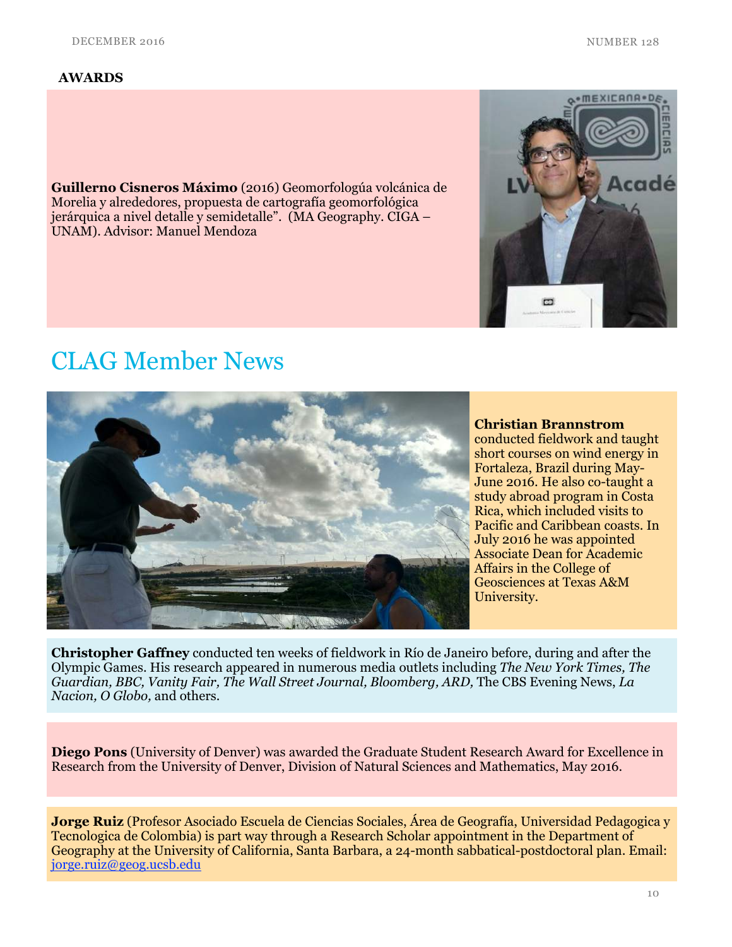#### AWARDS

Guillerno Cisneros Máximo (2016) Geomorfologúa volcánica de Morelia y alrededores, propuesta de cartografía geomorfológica jerárquica a nivel detalle y semidetalle". (MA Geography. CIGA – UNAM). Advisor: Manuel Mendoza





#### Christian Brannstrom

conducted fieldwork and taught short courses on wind energy in Fortaleza, Brazil during May-June 2016. He also co-taught a study abroad program in Costa Rica, which included visits to Pacific and Caribbean coasts. In July 2016 he was appointed Associate Dean for Academic Affairs in the College of Geosciences at Texas A&M University.

Christopher Gaffney conducted ten weeks of fieldwork in Río de Janeiro before, during and after the Olympic Games. His research appeared in numerous media outlets including *The New York Times, The Guardian, BBC, Vanity Fair, The Wall Street Journal, Bloomberg, ARD,* The CBS Evening News, *La Nacion, O Globo,* and others.

Diego Pons (University of Denver) was awarded the Graduate Student Research Award for Excellence in Research from the University of Denver, Division of Natural Sciences and Mathematics, May 2016.

Jorge Ruiz (Profesor Asociado Escuela de Ciencias Sociales, Área de Geografía, Universidad Pedagogica y Tecnologica de Colombia) is part way through a Research Scholar appointment in the Department of Geography at the University of California, Santa Barbara, a 24-month sabbatical-postdoctoral plan. Email: [jorge.ruiz@geog.ucsb.edu](mailto:jorge.ruiz@geog.ucsb.edu%22%20%5Ct%20%22_blank?subject=)

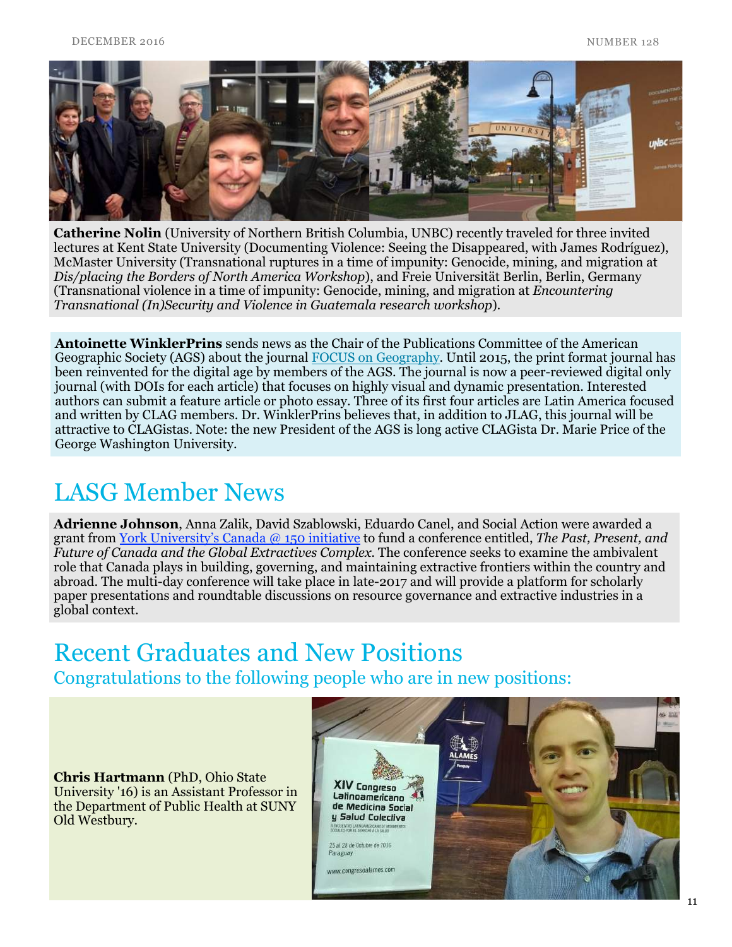

Catherine Nolin (University of Northern British Columbia, UNBC) recently traveled for three invited lectures at Kent State University (Documenting Violence: Seeing the Disappeared, with James Rodríguez), McMaster University (Transnational ruptures in a time of impunity: Genocide, mining, and migration at *Dis/placing the Borders of North America Workshop*), and Freie Universität Berlin, Berlin, Germany (Transnational violence in a time of impunity: Genocide, mining, and migration at *Encountering Transnational (In)Security and Violence in Guatemala research workshop*)*.*

Antoinette WinklerPrins sends news as the Chair of the Publications Committee of the American Geographic Society (AGS) about the journal [FOCUS on Geography.](http://www.focusongeography.org) Until 2015, the print format journal has been reinvented for the digital age by members of the AGS. The journal is now a peer-reviewed digital only journal (with DOIs for each article) that focuses on highly visual and dynamic presentation. Interested authors can submit a feature article or photo essay. Three of its first four articles are Latin America focused and written by CLAG members. Dr. WinklerPrins believes that, in addition to JLAG, this journal will be attractive to CLAGistas. Note: the new President of the AGS is long active CLAGista Dr. Marie Price of the George Washington University.

### LASG Member News

Adrienne Johnson, Anna Zalik, David Szablowski, Eduardo Canel, and Social Action were awarded a grant from [York University's Canada @ 150 initiative](http://president.yorku.ca/canada-150-york-university-fund/) to fund a conference entitled, *The Past, Present, and Future of Canada and the Global Extractives Complex.* The conference seeks to examine the ambivalent role that Canada plays in building, governing, and maintaining extractive frontiers within the country and abroad. The multi-day conference will take place in late-2017 and will provide a platform for scholarly paper presentations and roundtable discussions on resource governance and extractive industries in a global context.

# Recent Graduates and New Positions

Congratulations to the following people who are in new positions:

Chris Hartmann (PhD, Ohio State University '16) is an Assistant Professor in the Department of Public Health at SUNY Old Westbury.

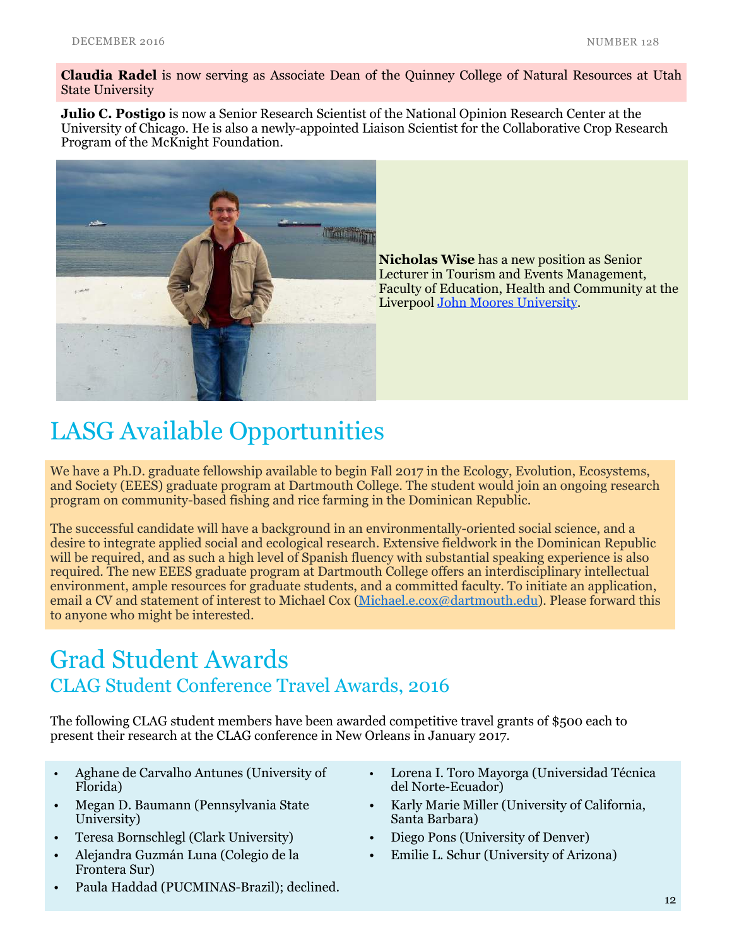Claudia Radel is now serving as Associate Dean of the Quinney College of Natural Resources at Utah State University

**Julio C. Postigo** is now a Senior Research Scientist of the National Opinion Research Center at the University of Chicago. He is also a newly-appointed Liaison Scientist for the Collaborative Crop Research Program of the McKnight Foundation.



Nicholas Wise has a new position as Senior Lecturer in Tourism and Events Management, Faculty of Education, Health and Community at the Liverpool [John Moores University](https://www.ljmu.ac.uk/).

# LASG Available Opportunities

We have a Ph.D. graduate fellowship available to begin Fall 2017 in the Ecology, Evolution, Ecosystems, and Society (EEES) graduate program at Dartmouth College. The student would join an ongoing research program on community-based fishing and rice farming in the Dominican Republic.

The successful candidate will have a background in an environmentally-oriented social science, and a desire to integrate applied social and ecological research. Extensive fieldwork in the Dominican Republic will be required, and as such a high level of Spanish fluency with substantial speaking experience is also required. The new EEES graduate program at Dartmouth College offers an interdisciplinary intellectual environment, ample resources for graduate students, and a committed faculty. To initiate an application, email a CV and statement of interest to Michael Cox [\(Michael.e.cox@dartmouth.edu](mailto:Michael.e.cox@dartmouth.edu%22%20%5Ct%20%22_blank?subject=)). Please forward this to anyone who might be interested.

### Grad Student Awards CLAG Student Conference Travel Awards, 2016

The following CLAG student members have been awarded competitive travel grants of \$500 each to present their research at the CLAG conference in New Orleans in January 2017.

- Aghane de Carvalho Antunes (University of Florida)
- Megan D. Baumann (Pennsylvania State University)
- Teresa Bornschlegl (Clark University)
- Alejandra Guzmán Luna (Colegio de la Frontera Sur)
- Paula Haddad (PUCMINAS-Brazil); declined.
- Lorena I. Toro Mayorga (Universidad Técnica del Norte-Ecuador)
- Karly Marie Miller (University of California, Santa Barbara)
- Diego Pons (University of Denver)
- Emilie L. Schur (University of Arizona)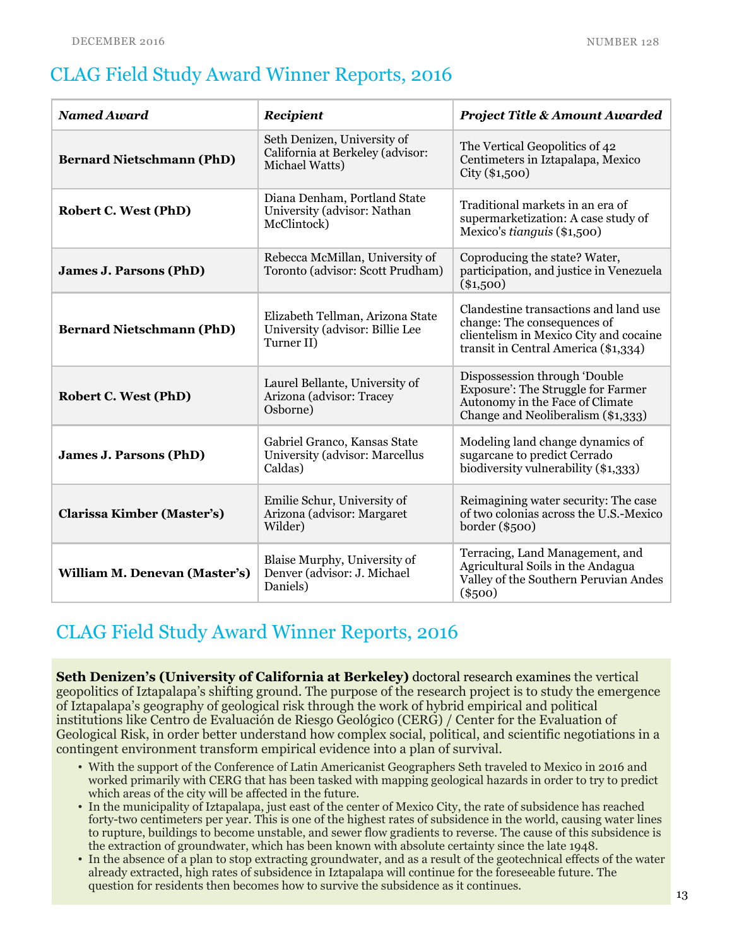### CLAG Field Study Award Winner Reports, 2016

| <b>Named Award</b>               | Recipient                                                                         | <b>Project Title &amp; Amount Awarded</b>                                                                                                              |
|----------------------------------|-----------------------------------------------------------------------------------|--------------------------------------------------------------------------------------------------------------------------------------------------------|
| <b>Bernard Nietschmann (PhD)</b> | Seth Denizen, University of<br>California at Berkeley (advisor:<br>Michael Watts) | The Vertical Geopolitics of 42<br>Centimeters in Iztapalapa, Mexico<br>City (\$1,500)                                                                  |
| <b>Robert C. West (PhD)</b>      | Diana Denham, Portland State<br>University (advisor: Nathan<br>McClintock)        | Traditional markets in an era of<br>supermarketization: A case study of<br>Mexico's tianguis (\$1,500)                                                 |
| <b>James J. Parsons (PhD)</b>    | Rebecca McMillan, University of<br>Toronto (advisor: Scott Prudham)               | Coproducing the state? Water,<br>participation, and justice in Venezuela<br>$(*1,500)$                                                                 |
| <b>Bernard Nietschmann (PhD)</b> | Elizabeth Tellman, Arizona State<br>University (advisor: Billie Lee<br>Turner II) | Clandestine transactions and land use<br>change: The consequences of<br>clientelism in Mexico City and cocaine<br>transit in Central America (\$1,334) |
| <b>Robert C. West (PhD)</b>      | Laurel Bellante, University of<br>Arizona (advisor: Tracey<br>Osborne)            | Dispossession through 'Double<br>Exposure': The Struggle for Farmer<br>Autonomy in the Face of Climate<br>Change and Neoliberalism (\$1,333)           |
| <b>James J. Parsons (PhD)</b>    | Gabriel Granco, Kansas State<br>University (advisor: Marcellus<br>Caldas)         | Modeling land change dynamics of<br>sugarcane to predict Cerrado<br>biodiversity vulnerability (\$1,333)                                               |
| Clarissa Kimber (Master's)       | Emilie Schur, University of<br>Arizona (advisor: Margaret<br>Wilder)              | Reimagining water security: The case<br>of two colonias across the U.S.-Mexico<br>$border($ \$500 $)$                                                  |
| William M. Denevan (Master's)    | Blaise Murphy, University of<br>Denver (advisor: J. Michael<br>Daniels)           | Terracing, Land Management, and<br>Agricultural Soils in the Andagua<br>Valley of the Southern Peruvian Andes<br>$(\$500)$                             |

### CLAG Field Study Award Winner Reports, 2016

Seth Denizen's (University of California at Berkeley) doctoral research examines the vertical geopolitics of Iztapalapa's shifting ground. The purpose of the research project is to study the emergence of Iztapalapa's geography of geological risk through the work of hybrid empirical and political institutions like Centro de Evaluación de Riesgo Geológico (CERG) / Center for the Evaluation of Geological Risk, in order better understand how complex social, political, and scientific negotiations in a contingent environment transform empirical evidence into a plan of survival.

- With the support of the Conference of Latin Americanist Geographers Seth traveled to Mexico in 2016 and worked primarily with CERG that has been tasked with mapping geological hazards in order to try to predict which areas of the city will be affected in the future.
- In the municipality of Iztapalapa, just east of the center of Mexico City, the rate of subsidence has reached forty-two centimeters per year. This is one of the highest rates of subsidence in the world, causing water lines to rupture, buildings to become unstable, and sewer flow gradients to reverse. The cause of this subsidence is the extraction of groundwater, which has been known with absolute certainty since the late 1948.
- In the absence of a plan to stop extracting groundwater, and as a result of the geotechnical effects of the water already extracted, high rates of subsidence in Iztapalapa will continue for the foreseeable future. The question for residents then becomes how to survive the subsidence as it continues. 13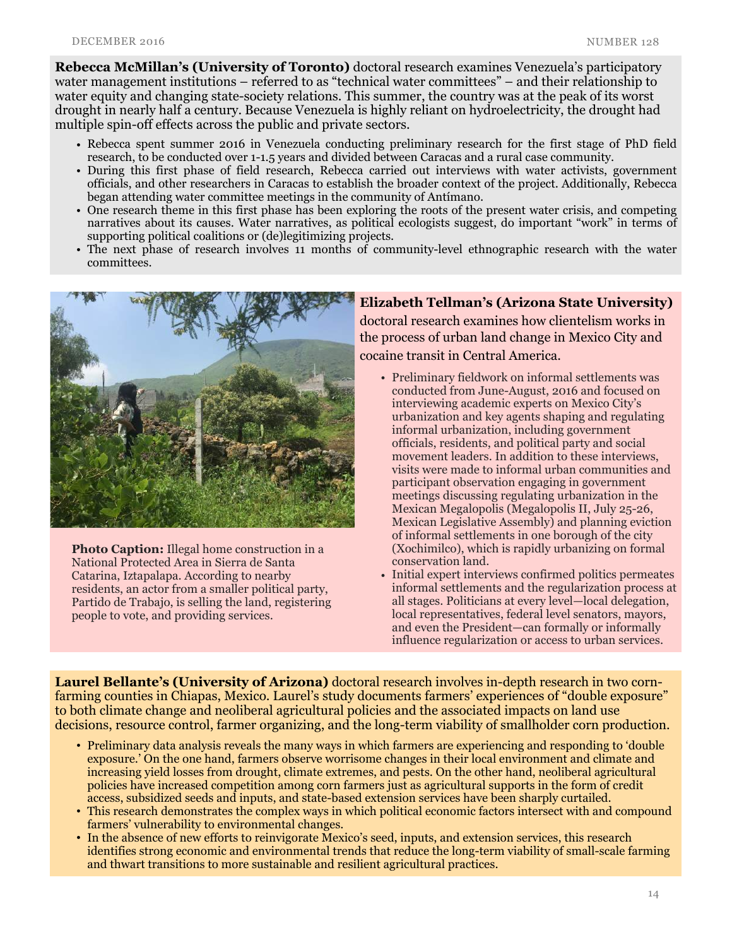Rebecca McMillan's (University of Toronto) doctoral research examines Venezuela's participatory water management institutions – referred to as "technical water committees" – and their relationship to water equity and changing state-society relations. This summer, the country was at the peak of its worst drought in nearly half a century. Because Venezuela is highly reliant on hydroelectricity, the drought had multiple spin-off effects across the public and private sectors.

- Rebecca spent summer 2016 in Venezuela conducting preliminary research for the first stage of PhD field research, to be conducted over 1-1.5 years and divided between Caracas and a rural case community.
- During this first phase of field research, Rebecca carried out interviews with water activists, government officials, and other researchers in Caracas to establish the broader context of the project. Additionally, Rebecca began attending water committee meetings in the community of Antímano.
- One research theme in this first phase has been exploring the roots of the present water crisis, and competing narratives about its causes. Water narratives, as political ecologists suggest, do important "work" in terms of supporting political coalitions or (de)legitimizing projects.
- The next phase of research involves 11 months of community-level ethnographic research with the water committees.



Photo Caption: Illegal home construction in a National Protected Area in Sierra de Santa Catarina, Iztapalapa. According to nearby residents, an actor from a smaller political party, Partido de Trabajo, is selling the land, registering people to vote, and providing services.

Elizabeth Tellman's (Arizona State University) doctoral research examines how clientelism works in the process of urban land change in Mexico City and cocaine transit in Central America.

- Preliminary fieldwork on informal settlements was conducted from June-August, 2016 and focused on interviewing academic experts on Mexico City's urbanization and key agents shaping and regulating informal urbanization, including government officials, residents, and political party and social movement leaders. In addition to these interviews, visits were made to informal urban communities and participant observation engaging in government meetings discussing regulating urbanization in the Mexican Megalopolis (Megalopolis II, July 25-26, Mexican Legislative Assembly) and planning eviction of informal settlements in one borough of the city (Xochimilco), which is rapidly urbanizing on formal conservation land.
- Initial expert interviews confirmed politics permeates informal settlements and the regularization process at all stages. Politicians at every level—local delegation, local representatives, federal level senators, mayors, and even the President—can formally or informally influence regularization or access to urban services.

Laurel Bellante's (University of Arizona) doctoral research involves in-depth research in two cornfarming counties in Chiapas, Mexico. Laurel's study documents farmers' experiences of "double exposure" to both climate change and neoliberal agricultural policies and the associated impacts on land use decisions, resource control, farmer organizing, and the long-term viability of smallholder corn production.

- Preliminary data analysis reveals the many ways in which farmers are experiencing and responding to 'double exposure.' On the one hand, farmers observe worrisome changes in their local environment and climate and increasing yield losses from drought, climate extremes, and pests. On the other hand, neoliberal agricultural policies have increased competition among corn farmers just as agricultural supports in the form of credit access, subsidized seeds and inputs, and state-based extension services have been sharply curtailed.
- This research demonstrates the complex ways in which political economic factors intersect with and compound farmers' vulnerability to environmental changes.
- In the absence of new efforts to reinvigorate Mexico's seed, inputs, and extension services, this research identifies strong economic and environmental trends that reduce the long-term viability of small-scale farming and thwart transitions to more sustainable and resilient agricultural practices.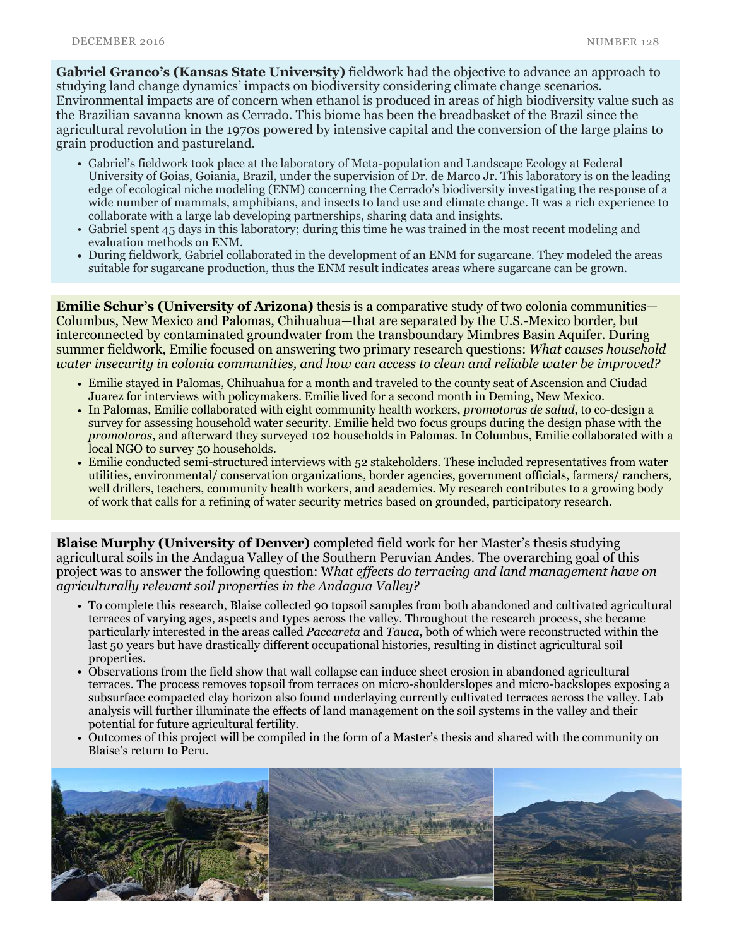Gabriel Granco's (Kansas State University) fieldwork had the objective to advance an approach to studying land change dynamics' impacts on biodiversity considering climate change scenarios. Environmental impacts are of concern when ethanol is produced in areas of high biodiversity value such as the Brazilian savanna known as Cerrado. This biome has been the breadbasket of the Brazil since the agricultural revolution in the 1970s powered by intensive capital and the conversion of the large plains to grain production and pastureland.

- Gabriel's fieldwork took place at the laboratory of Meta-population and Landscape Ecology at Federal University of Goias, Goiania, Brazil, under the supervision of Dr. de Marco Jr. This laboratory is on the leading edge of ecological niche modeling (ENM) concerning the Cerrado's biodiversity investigating the response of a wide number of mammals, amphibians, and insects to land use and climate change. It was a rich experience to collaborate with a large lab developing partnerships, sharing data and insights.
- Gabriel spent 45 days in this laboratory; during this time he was trained in the most recent modeling and evaluation methods on ENM.
- During fieldwork, Gabriel collaborated in the development of an ENM for sugarcane. They modeled the areas suitable for sugarcane production, thus the ENM result indicates areas where sugarcane can be grown.

**Emilie Schur's (University of Arizona)** thesis is a comparative study of two colonia communities— Columbus, New Mexico and Palomas, Chihuahua—that are separated by the U.S.-Mexico border, but interconnected by contaminated groundwater from the transboundary Mimbres Basin Aquifer. During summer fieldwork, Emilie focused on answering two primary research questions: *What causes household water insecurity in colonia communities, and how can access to clean and reliable water be improved?* 

- Emilie stayed in Palomas, Chihuahua for a month and traveled to the county seat of Ascension and Ciudad Juarez for interviews with policymakers. Emilie lived for a second month in Deming, New Mexico.
- In Palomas, Emilie collaborated with eight community health workers, *promotoras de salud*, to co-design a survey for assessing household water security. Emilie held two focus groups during the design phase with the *promotoras*, and afterward they surveyed 102 households in Palomas. In Columbus, Emilie collaborated with a local NGO to survey 50 households.
- Emilie conducted semi-structured interviews with 52 stakeholders. These included representatives from water utilities, environmental/ conservation organizations, border agencies, government officials, farmers/ ranchers, well drillers, teachers, community health workers, and academics. My research contributes to a growing body of work that calls for a refining of water security metrics based on grounded, participatory research.

Blaise Murphy (University of Denver) completed field work for her Master's thesis studying agricultural soils in the Andagua Valley of the Southern Peruvian Andes. The overarching goal of this project was to answer the following question: W*hat effects do terracing and land management have on agriculturally relevant soil properties in the Andagua Valley?*

- To complete this research, Blaise collected 90 topsoil samples from both abandoned and cultivated agricultural terraces of varying ages, aspects and types across the valley. Throughout the research process, she became particularly interested in the areas called *Paccareta* and *Tauca*, both of which were reconstructed within the last 50 years but have drastically different occupational histories, resulting in distinct agricultural soil properties.
- Observations from the field show that wall collapse can induce sheet erosion in abandoned agricultural terraces. The process removes topsoil from terraces on micro-shoulderslopes and micro-backslopes exposing a subsurface compacted clay horizon also found underlaying currently cultivated terraces across the valley. Lab analysis will further illuminate the effects of land management on the soil systems in the valley and their potential for future agricultural fertility.
- Outcomes of this project will be compiled in the form of a Master's thesis and shared with the community on Blaise's return to Peru.